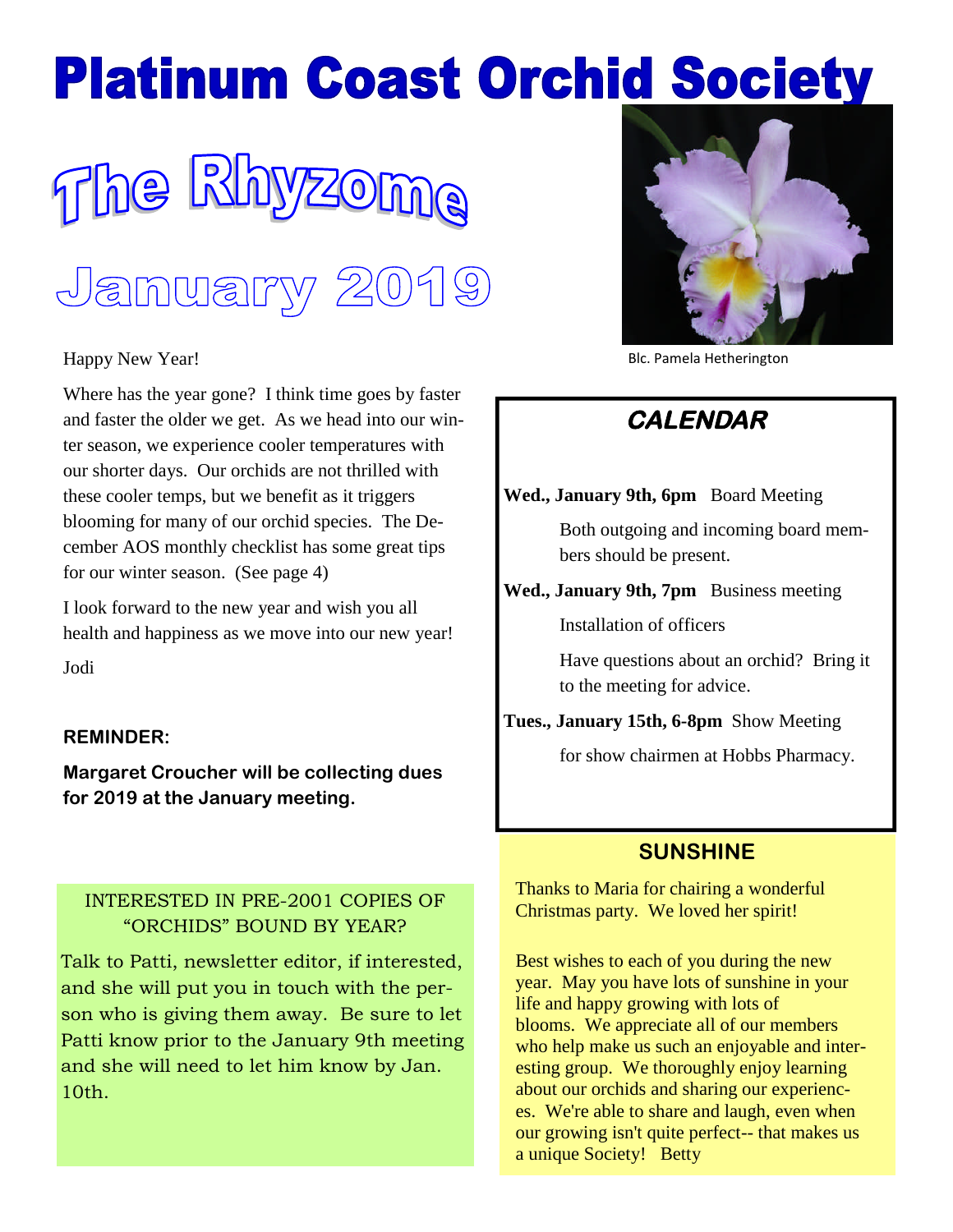# **Platinum Coast Orchid Society**



#### Happy New Year!

Where has the year gone? I think time goes by faster and faster the older we get. As we head into our winter season, we experience cooler temperatures with our shorter days. Our orchids are not thrilled with these cooler temps, but we benefit as it triggers blooming for many of our orchid species. The December AOS monthly checklist has some great tips for our winter season. (See page 4)

I look forward to the new year and wish you all health and happiness as we move into our new year!

Jodi

#### **REMINDER:**

**Margaret Croucher will be collecting dues for 2019 at the January meeting.**

## INTERESTED IN PRE-2001 COPIES OF "ORCHIDS" BOUND BY YEAR?

Talk to Patti, newsletter editor, if interested, and she will put you in touch with the person who is giving them away. Be sure to let Patti know prior to the January 9th meeting and she will need to let him know by Jan. 10th.



Blc. Pamela Hetherington

# **CALENDAR**

#### **Wed., January 9th, 6pm** Board Meeting

Both outgoing and incoming board members should be present.

**Wed., January 9th, 7pm** Business meeting

Installation of officers

Have questions about an orchid? Bring it to the meeting for advice.

**Tues., January 15th, 6-8pm** Show Meeting

for show chairmen at Hobbs Pharmacy.

## **SUNSHINE**

Thanks to Maria for chairing a wonderful Christmas party. We loved her spirit!

Best wishes to each of you during the new year. May you have lots of sunshine in your life and happy growing with lots of blooms. We appreciate all of our members who help make us such an enjoyable and interesting group. We thoroughly enjoy learning about our orchids and sharing our experiences. We're able to share and laugh, even when our growing isn't quite perfect-- that makes us a unique Society! Betty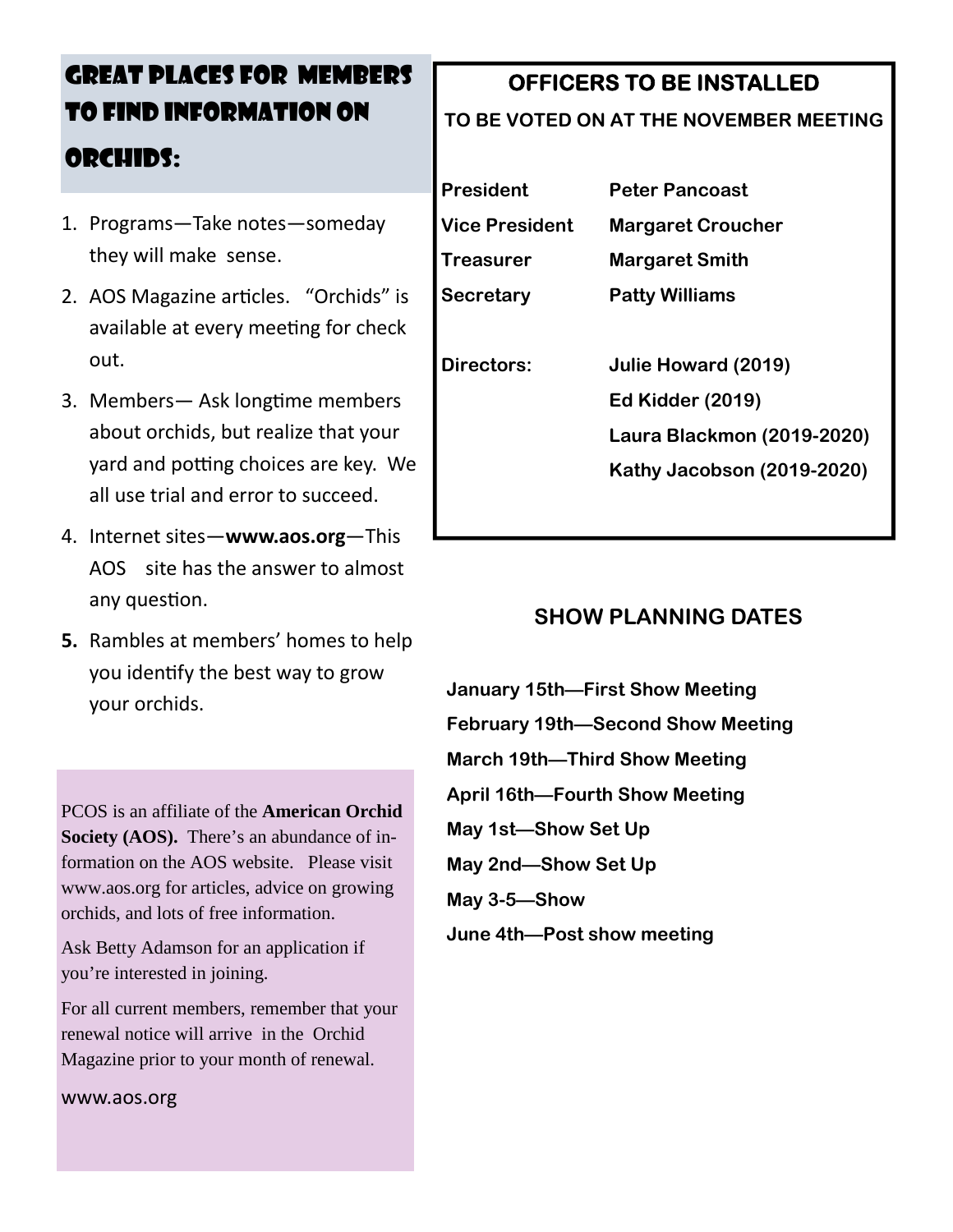# GREAT PLACES FOR MEMBERS TO FIND INFORMATION ON ORCHIDS:

- 1. Programs—Take notes—someday they will make sense.
- 2. AOS Magazine articles. "Orchids" is available at every meeting for check out.
- 3. Members— Ask longtime members about orchids, but realize that your yard and potting choices are key. We all use trial and error to succeed.
- 4. Internet sites—**www.aos.org**—This AOS site has the answer to almost any question.
- **5.** Rambles at members' homes to help you identify the best way to grow your orchids.

PCOS is an affiliate of the **American Orchid Society (AOS).** There's an abundance of information on the AOS website. Please visit www.aos.org for articles, advice on growing orchids, and lots of free information.

Ask Betty Adamson for an application if you're interested in joining.

For all current members, remember that your renewal notice will arrive in the Orchid Magazine prior to your month of renewal.

www.aos.org

## **OFFICERS TO BE INSTALLED**

#### **TO BE VOTED ON AT THE NOVEMBER MEETING**

| President             | <b>Peter Pancoast</b>             |
|-----------------------|-----------------------------------|
| <b>Vice President</b> | <b>Margaret Croucher</b>          |
| Treasurer             | <b>Margaret Smith</b>             |
| Secretary             | <b>Patty Williams</b>             |
|                       |                                   |
| <b>Directors:</b>     | Julie Howard (2019)               |
|                       | <b>Ed Kidder (2019)</b>           |
|                       | <b>Laura Blackmon (2019-2020)</b> |
|                       | Kathy Jacobson (2019-2020)        |

## **SHOW PLANNING DATES**

**January 15th—First Show Meeting February 19th—Second Show Meeting March 19th—Third Show Meeting April 16th—Fourth Show Meeting May 1st—Show Set Up May 2nd—Show Set Up May 3-5—Show June 4th—Post show meeting**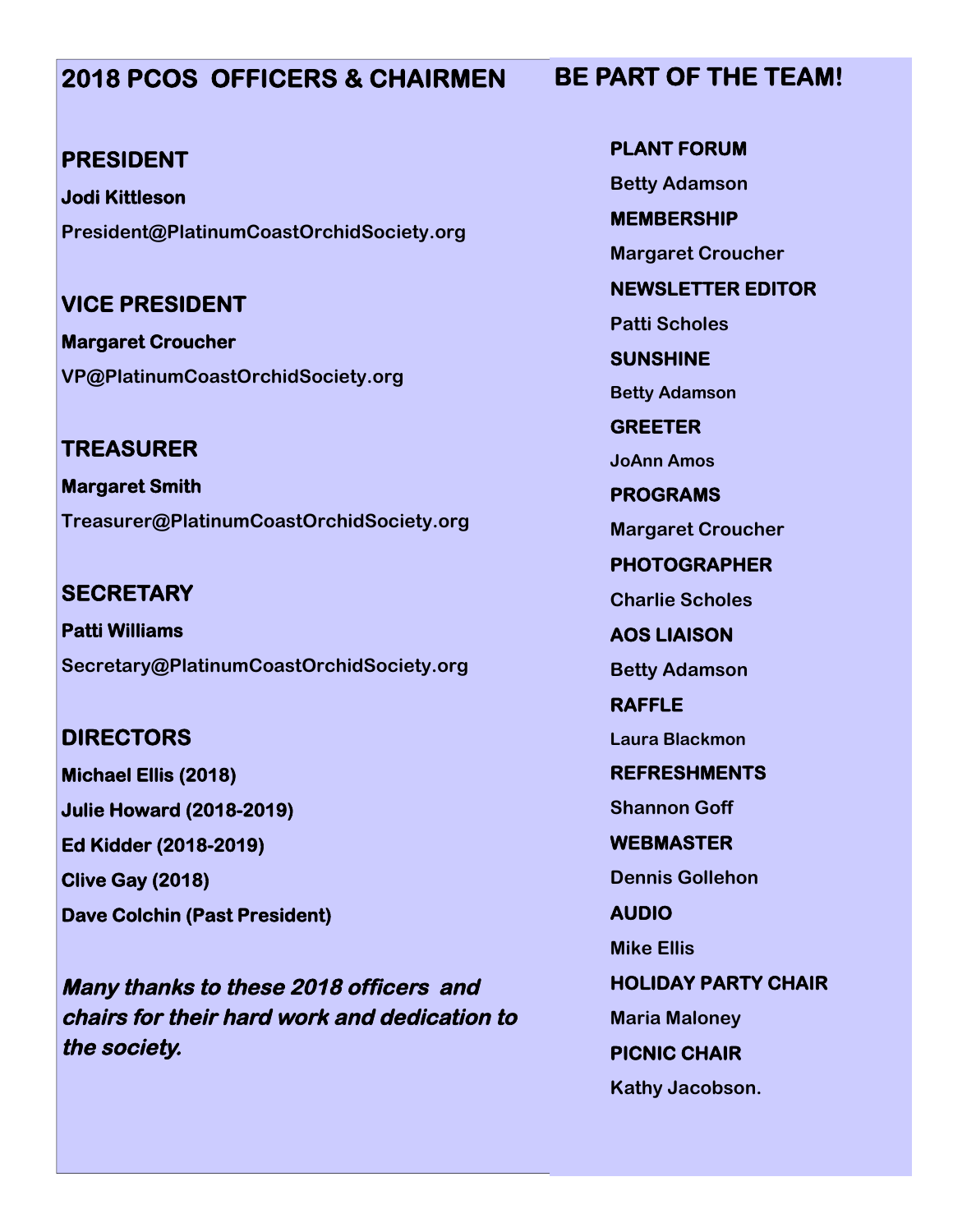## **2018 PCOS OFFICERS & CHAIRMEN**

### **PRESIDENT**

**Jodi Kittleson President@PlatinumCoastOrchidSociety.org**

**VICE PRESIDENT**

**Margaret Croucher VP@PlatinumCoastOrchidSociety.org**

**TREASURER Margaret Smith Treasurer@PlatinumCoastOrchidSociety.org**

**SECRETARY Patti Williams Secretary@PlatinumCoastOrchidSociety.org**

# **DIRECTORS Michael Ellis (2018) Julie Howard (2018-2019)**

**Ed Kidder (2018-2019) Clive Gay (2018)**

**Dave Colchin (Past President)**

**Many thanks to these 2018 officers and chairs for their hard work and dedication to the society.**

**PLANT FORUM Betty Adamson MEMBERSHIP Margaret Croucher NEWSLETTER EDITOR Patti Scholes SUNSHINE Betty Adamson GREETER JoAnn Amos PROGRAMS Margaret Croucher PHOTOGRAPHER Charlie Scholes AOS LIAISON Betty Adamson RAFFLE Laura Blackmon REFRESHMENTS Shannon Goff WEBMASTER Dennis Gollehon AUDIO**

**Mike Ellis**

**HOLIDAY PARTY CHAIR**

**Maria Maloney PICNIC CHAIR Kathy Jacobson.**

## **BE PART OF THE TEAM!**